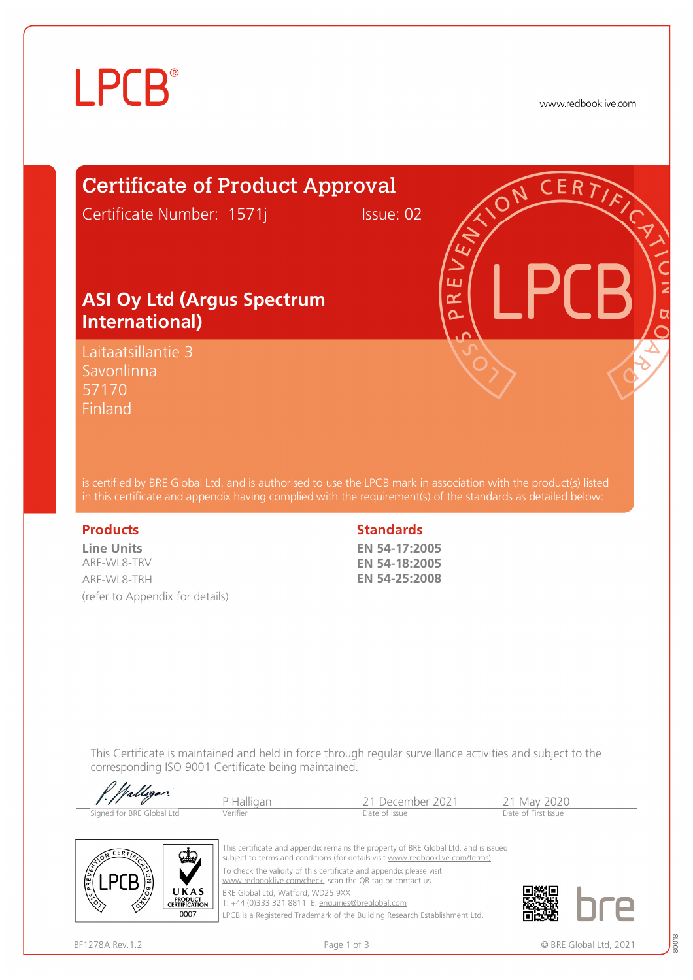

www.redbooklive.com

## Certificate of Product Approval

Certificate Number: 1571j Issue: 02

ய œ Ò

#### **ASI Oy Ltd (Argus Spectrum International)**

Laitaatsillantie 3 Savonlinna 57170 **Finland** 

is certified by BRE Global Ltd. and is authorised to use the LPCB mark in association with the product(s) listed in this certificate and appendix having complied with the requirement(s) of the standards as detailed below:

**Line Units**  ARF-WL8-TRV ARF-WL8-TRH (refer to Appendix for details)

#### **Products** Standards **Standards**

**EN 54-17:2005 EN 54-18:2005 EN 54-25:2008** 

This Certificate is maintained and held in force through regular surveillance activities and subject to the corresponding ISO 9001 Certificate being maintained.

| P. Walligan               | P Halligan | 21 December 2021 | 21 May 2020         |
|---------------------------|------------|------------------|---------------------|
| Signed for BRE Global Ltd | Verifier   | Date of Issue    | Date of First Issue |



This certificate and appendix remains the property of BRE Global Ltd. and is issued subject to terms and conditions (for details visit [www.redbooklive.com/terms\)](http://www.redbooklive.com/terms)). To check the validity of this certificate and appendix please visit [www.redbooklive.com/check,](http://www.redbooklive.com/check) scan the QR tag or contact us. BRE Global Ltd, Watford, WD25 9XX

T: +44 (0)333 321 8811 E: [enquiries@breglobal.com](mailto:enquiries@breglobal.com)

LPCB is a Registered Trademark of the Building Research Establishment Ltd.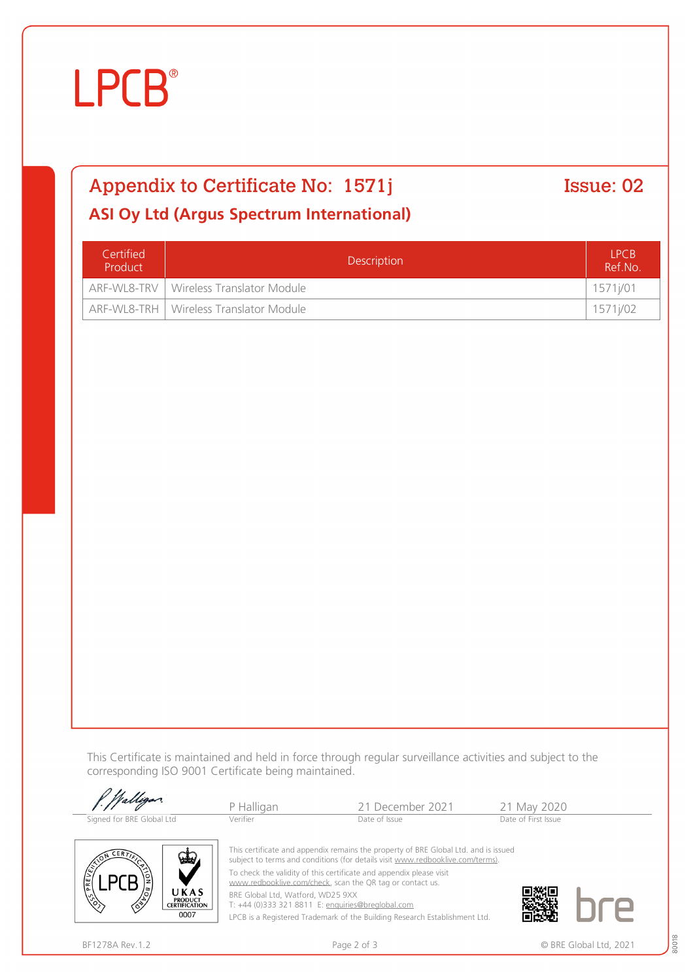# **LPCB**®

## Appendix to Certificate No: 1571j Issue: 02

#### **ASI Oy Ltd (Argus Spectrum International)**

| Certified<br>Product | <b>Description</b>                       |          |
|----------------------|------------------------------------------|----------|
|                      | ARF-WL8-TRV   Wireless Translator Module | 1571j/01 |
|                      | ARF-WL8-TRH   Wireless Translator Module | 1571j/02 |

This Certificate is maintained and held in force through regular surveillance activities and subject to the corresponding ISO 9001 Certificate being maintained.

| P. Walligan               | P Halligan | 21 December 2021                                                                    | 21 May 2020         |
|---------------------------|------------|-------------------------------------------------------------------------------------|---------------------|
| Signed for BRE Global Ltd | Verifier   | Date of Issue                                                                       | Date of First Issue |
| $\sqrt{N}$ CERTIN         |            | This certificate and appendix remains the property of BRE Global Ltd. and is issued |                     |



To check the validity of this certificate and appendix please visit

[www.redbooklive.com/check](http://www.redbooklive.com/check), scan the QR tag or contact us.

BRE Global Ltd, Watford, WD25 9XX

T: +44 (0)333 321 8811 E: [enquiries@breglobal.com](mailto:enquiries@breglobal.com)

LPCB is a Registered Trademark of the Building Research Establishment Ltd.



UKAS **PRODUCT<br>CERTIFICATION** 0007

80018